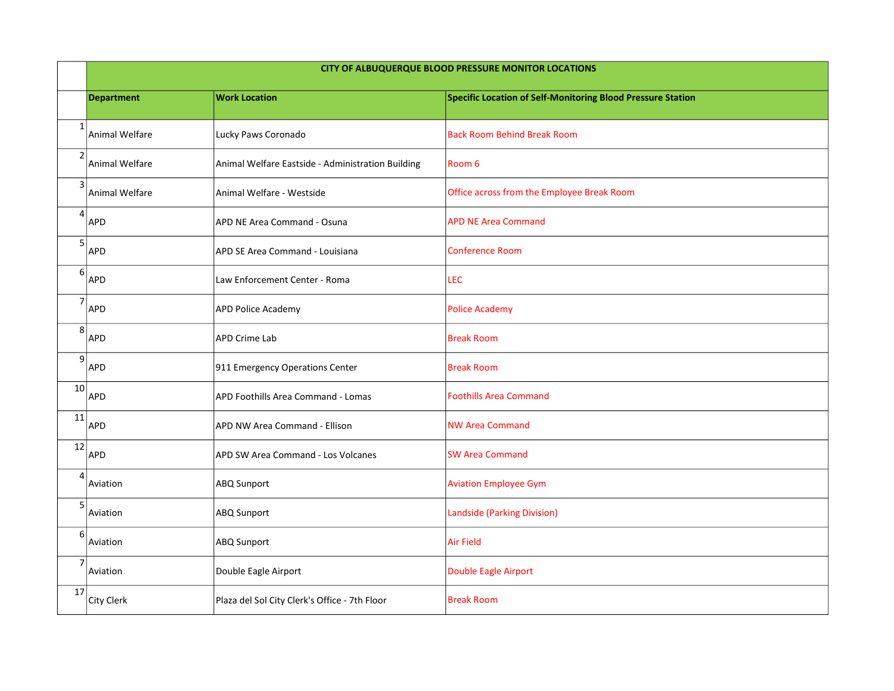|                  | CITY OF ALBUQUERQUE BLOOD PRESSURE MONITOR LOCATIONS |                                                   |                                                             |
|------------------|------------------------------------------------------|---------------------------------------------------|-------------------------------------------------------------|
|                  | <b>Department</b>                                    | <b>Work Location</b>                              | Specific Location of Self-Monitoring Blood Pressure Station |
| $\mathbf{1}$     | Animal Welfare                                       | Lucky Paws Coronado                               | <b>Back Room Behind Break Room</b>                          |
| $\overline{2}$   | Animal Welfare                                       | Animal Welfare Eastside - Administration Building | Room 6                                                      |
| $\mathsf{3}$     | Animal Welfare                                       | Animal Welfare - Westside                         | Office across from the Employee Break Room                  |
| $\overline{4}$   | <b>APD</b>                                           | APD NE Area Command - Osuna                       | <b>APD NE Area Command</b>                                  |
| 5                | APD                                                  | APD SE Area Command - Louisiana                   | <b>Conference Room</b>                                      |
| $\boldsymbol{6}$ | APD                                                  | Law Enforcement Center - Roma                     | LEC                                                         |
| $\overline{7}$   | APD                                                  | <b>APD Police Academy</b>                         | <b>Police Academy</b>                                       |
| 8                | APD                                                  | <b>APD Crime Lab</b>                              | <b>Break Room</b>                                           |
| 9                | APD                                                  | 911 Emergency Operations Center                   | <b>Break Room</b>                                           |
| 10               | APD                                                  | APD Foothills Area Command - Lomas                | <b>Foothills Area Command</b>                               |
| 11               | <b>APD</b>                                           | APD NW Area Command - Ellison                     | <b>NW Area Command</b>                                      |
| 12               | <b>APD</b>                                           | APD SW Area Command - Los Volcanes                | <b>SW Area Command</b>                                      |
| $\overline{4}$   | Aviation                                             | ABQ Sunport                                       | <b>Aviation Employee Gym</b>                                |
| 5                | Aviation                                             | ABQ Sunport                                       | <b>Landside (Parking Division)</b>                          |
| 6                | Aviation                                             | ABQ Sunport                                       | <b>Air Field</b>                                            |
| $\overline{7}$   | Aviation                                             | Double Eagle Airport                              | Double Eagle Airport                                        |
| 17               | City Clerk                                           | Plaza del Sol City Clerk's Office - 7th Floor     | <b>Break Room</b>                                           |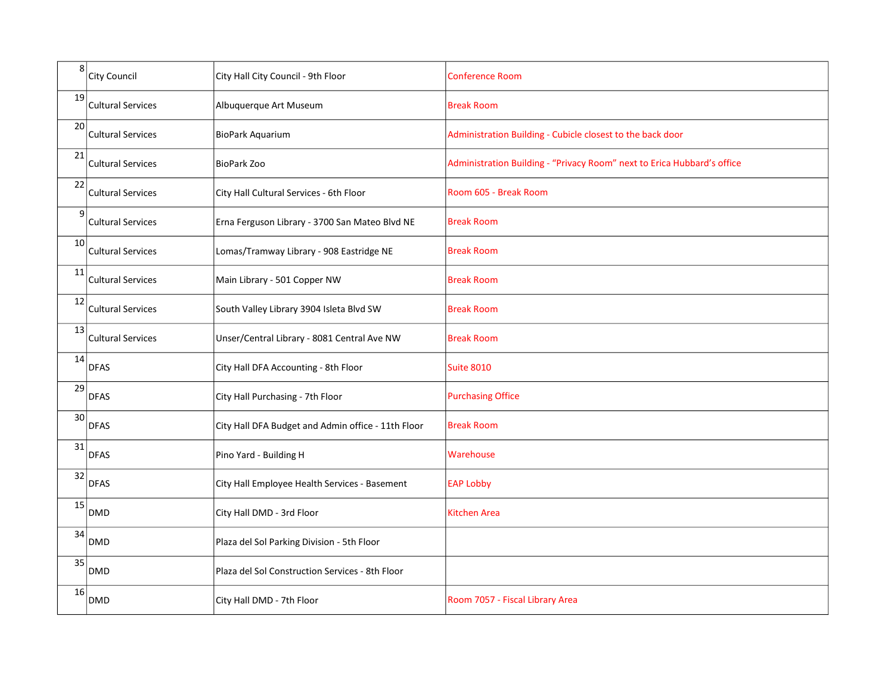| 8               | <b>City Council</b>      | City Hall City Council - 9th Floor                 | <b>Conference Room</b>                                                  |
|-----------------|--------------------------|----------------------------------------------------|-------------------------------------------------------------------------|
| 19              | <b>Cultural Services</b> | Albuquerque Art Museum                             | <b>Break Room</b>                                                       |
| 20 <sup>1</sup> | <b>Cultural Services</b> | BioPark Aquarium                                   | Administration Building - Cubicle closest to the back door              |
| 21              | <b>Cultural Services</b> | <b>BioPark Zoo</b>                                 | Administration Building - "Privacy Room" next to Erica Hubbard's office |
| 22              | <b>Cultural Services</b> | City Hall Cultural Services - 6th Floor            | Room 605 - Break Room                                                   |
| $\overline{9}$  | <b>Cultural Services</b> | Erna Ferguson Library - 3700 San Mateo Blvd NE     | <b>Break Room</b>                                                       |
| 10              | <b>Cultural Services</b> | Lomas/Tramway Library - 908 Eastridge NE           | <b>Break Room</b>                                                       |
| 11              | <b>Cultural Services</b> | Main Library - 501 Copper NW                       | <b>Break Room</b>                                                       |
| 12              | <b>Cultural Services</b> | South Valley Library 3904 Isleta Blvd SW           | <b>Break Room</b>                                                       |
| 13              | <b>Cultural Services</b> | Unser/Central Library - 8081 Central Ave NW        | <b>Break Room</b>                                                       |
| 14              | <b>DFAS</b>              | City Hall DFA Accounting - 8th Floor               | <b>Suite 8010</b>                                                       |
| 29              | <b>DFAS</b>              | City Hall Purchasing - 7th Floor                   | <b>Purchasing Office</b>                                                |
| 30              | <b>DFAS</b>              | City Hall DFA Budget and Admin office - 11th Floor | <b>Break Room</b>                                                       |
| 31              | <b>DFAS</b>              | Pino Yard - Building H                             | Warehouse                                                               |
| 32              | <b>DFAS</b>              | City Hall Employee Health Services - Basement      | <b>EAP Lobby</b>                                                        |
| 15              | <b>DMD</b>               | City Hall DMD - 3rd Floor                          | <b>Kitchen Area</b>                                                     |
| 34              | DMD                      | Plaza del Sol Parking Division - 5th Floor         |                                                                         |
| 35              | <b>DMD</b>               | Plaza del Sol Construction Services - 8th Floor    |                                                                         |
| 16              | <b>DMD</b>               | City Hall DMD - 7th Floor                          | Room 7057 - Fiscal Library Area                                         |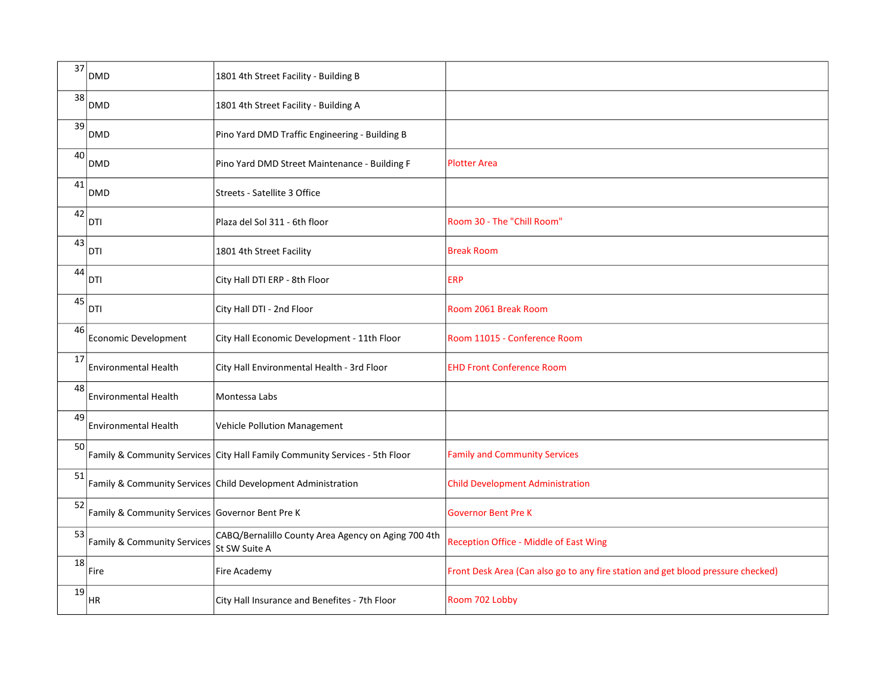| 37 | <b>DMD</b>                                      | 1801 4th Street Facility - Building B                                       |                                                                                  |
|----|-------------------------------------------------|-----------------------------------------------------------------------------|----------------------------------------------------------------------------------|
| 38 | <b>DMD</b>                                      | 1801 4th Street Facility - Building A                                       |                                                                                  |
| 39 | <b>DMD</b>                                      | Pino Yard DMD Traffic Engineering - Building B                              |                                                                                  |
| 40 | <b>DMD</b>                                      | Pino Yard DMD Street Maintenance - Building F                               | <b>Plotter Area</b>                                                              |
| 41 | <b>DMD</b>                                      | Streets - Satellite 3 Office                                                |                                                                                  |
| 42 | DTI                                             | Plaza del Sol 311 - 6th floor                                               | Room 30 - The "Chill Room"                                                       |
| 43 | DTI                                             | 1801 4th Street Facility                                                    | <b>Break Room</b>                                                                |
| 44 | DTI                                             | City Hall DTI ERP - 8th Floor                                               | <b>ERP</b>                                                                       |
| 45 | <b>DTI</b>                                      | City Hall DTI - 2nd Floor                                                   | Room 2061 Break Room                                                             |
| 46 | Economic Development                            | City Hall Economic Development - 11th Floor                                 | Room 11015 - Conference Room                                                     |
| 17 | Environmental Health                            | City Hall Environmental Health - 3rd Floor                                  | <b>EHD Front Conference Room</b>                                                 |
| 48 | <b>Environmental Health</b>                     | Montessa Labs                                                               |                                                                                  |
| 49 | <b>Environmental Health</b>                     | <b>Vehicle Pollution Management</b>                                         |                                                                                  |
| 50 |                                                 | Family & Community Services City Hall Family Community Services - 5th Floor | <b>Family and Community Services</b>                                             |
| 51 |                                                 | Family & Community Services Child Development Administration                | <b>Child Development Administration</b>                                          |
| 52 | Family & Community Services Governor Bent Pre K |                                                                             | <b>Governor Bent Pre K</b>                                                       |
| 53 | Family & Community Services                     | CABQ/Bernalillo County Area Agency on Aging 700 4th<br>St SW Suite A        | Reception Office - Middle of East Wing                                           |
| 18 | Fire                                            | Fire Academy                                                                | Front Desk Area (Can also go to any fire station and get blood pressure checked) |
| 19 | <b>HR</b>                                       | City Hall Insurance and Benefites - 7th Floor                               | Room 702 Lobby                                                                   |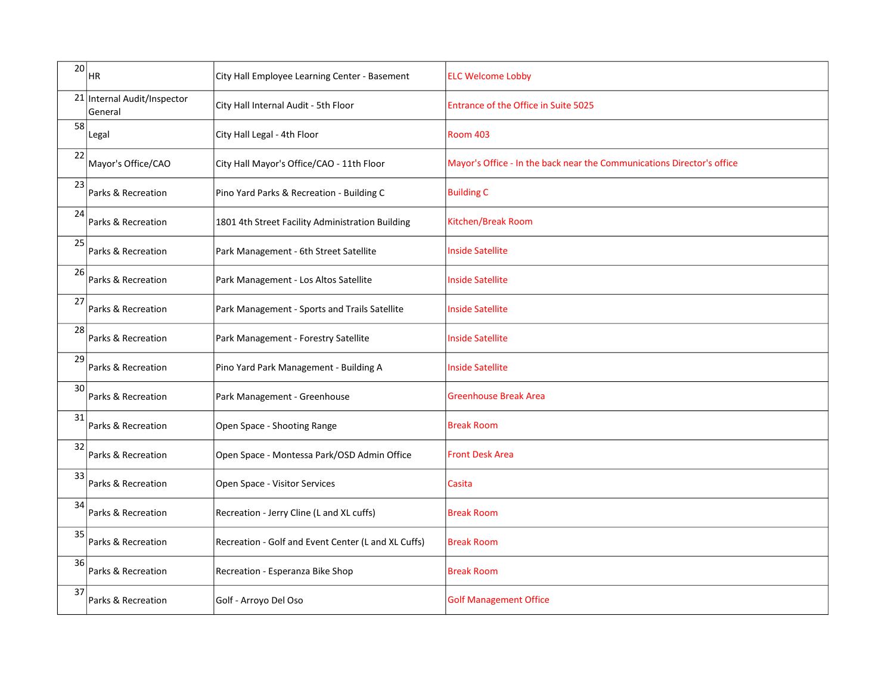| 20 <sub>2</sub> | HR.                                    | City Hall Employee Learning Center - Basement       | <b>ELC Welcome Lobby</b>                                               |
|-----------------|----------------------------------------|-----------------------------------------------------|------------------------------------------------------------------------|
|                 | 21 Internal Audit/Inspector<br>General | City Hall Internal Audit - 5th Floor                | Entrance of the Office in Suite 5025                                   |
| 58              | Legal                                  | City Hall Legal - 4th Floor                         | <b>Room 403</b>                                                        |
| 22              | Mayor's Office/CAO                     | City Hall Mayor's Office/CAO - 11th Floor           | Mayor's Office - In the back near the Communications Director's office |
| 23              | Parks & Recreation                     | Pino Yard Parks & Recreation - Building C           | <b>Building C</b>                                                      |
| 24              | Parks & Recreation                     | 1801 4th Street Facility Administration Building    | Kitchen/Break Room                                                     |
| 25              | Parks & Recreation                     | Park Management - 6th Street Satellite              | <b>Inside Satellite</b>                                                |
| 26              | Parks & Recreation                     | Park Management - Los Altos Satellite               | <b>Inside Satellite</b>                                                |
| 27              | Parks & Recreation                     | Park Management - Sports and Trails Satellite       | <b>Inside Satellite</b>                                                |
| 28              | Parks & Recreation                     | Park Management - Forestry Satellite                | <b>Inside Satellite</b>                                                |
| 29              | Parks & Recreation                     | Pino Yard Park Management - Building A              | <b>Inside Satellite</b>                                                |
| 30              | Parks & Recreation                     | Park Management - Greenhouse                        | <b>Greenhouse Break Area</b>                                           |
| 31              | Parks & Recreation                     | Open Space - Shooting Range                         | <b>Break Room</b>                                                      |
| 32              | Parks & Recreation                     | Open Space - Montessa Park/OSD Admin Office         | <b>Front Desk Area</b>                                                 |
| 33              | Parks & Recreation                     | Open Space - Visitor Services                       | Casita                                                                 |
| 34              | Parks & Recreation                     | Recreation - Jerry Cline (L and XL cuffs)           | <b>Break Room</b>                                                      |
| 35              | Parks & Recreation                     | Recreation - Golf and Event Center (L and XL Cuffs) | <b>Break Room</b>                                                      |
| 36              | Parks & Recreation                     | Recreation - Esperanza Bike Shop                    | <b>Break Room</b>                                                      |
| 37              | Parks & Recreation                     | Golf - Arroyo Del Oso                               | <b>Golf Management Office</b>                                          |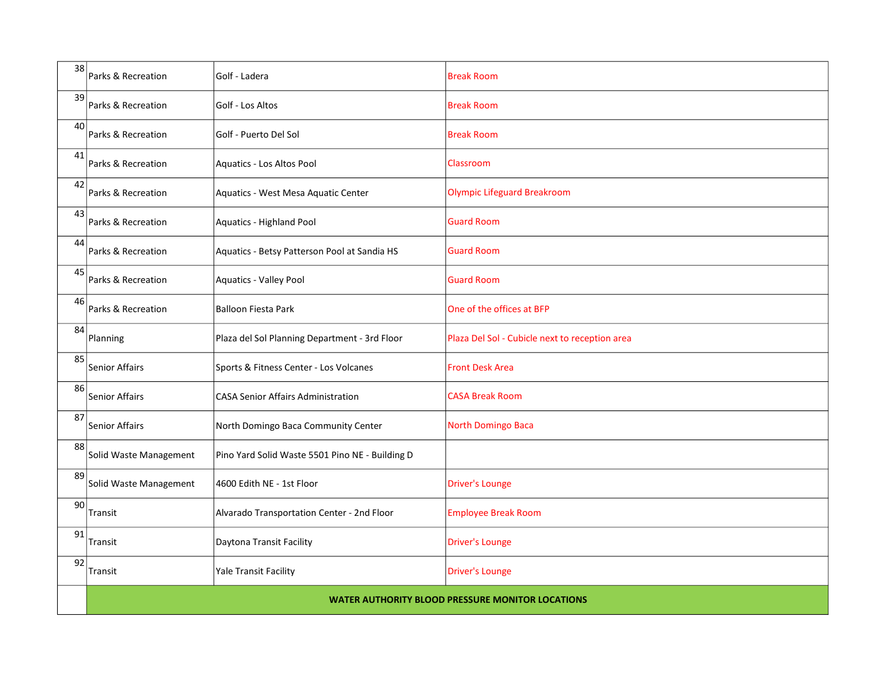| 38 | Parks & Recreation                                      | Golf - Ladera                                   | <b>Break Room</b>                              |
|----|---------------------------------------------------------|-------------------------------------------------|------------------------------------------------|
| 39 | Parks & Recreation                                      | Golf - Los Altos                                | <b>Break Room</b>                              |
| 40 | Parks & Recreation                                      | Golf - Puerto Del Sol                           | <b>Break Room</b>                              |
| 41 | Parks & Recreation                                      | Aquatics - Los Altos Pool                       | Classroom                                      |
| 42 | Parks & Recreation                                      | Aquatics - West Mesa Aquatic Center             | <b>Olympic Lifeguard Breakroom</b>             |
| 43 | Parks & Recreation                                      | Aquatics - Highland Pool                        | <b>Guard Room</b>                              |
| 44 | Parks & Recreation                                      | Aquatics - Betsy Patterson Pool at Sandia HS    | <b>Guard Room</b>                              |
| 45 | Parks & Recreation                                      | Aquatics - Valley Pool                          | <b>Guard Room</b>                              |
| 46 | Parks & Recreation                                      | <b>Balloon Fiesta Park</b>                      | One of the offices at BFP                      |
| 84 | Planning                                                | Plaza del Sol Planning Department - 3rd Floor   | Plaza Del Sol - Cubicle next to reception area |
| 85 | <b>Senior Affairs</b>                                   | Sports & Fitness Center - Los Volcanes          | <b>Front Desk Area</b>                         |
| 86 | <b>Senior Affairs</b>                                   | <b>CASA Senior Affairs Administration</b>       | <b>CASA Break Room</b>                         |
| 87 | Senior Affairs                                          | North Domingo Baca Community Center             | North Domingo Baca                             |
| 88 | Solid Waste Management                                  | Pino Yard Solid Waste 5501 Pino NE - Building D |                                                |
| 89 | Solid Waste Management                                  | 4600 Edith NE - 1st Floor                       | <b>Driver's Lounge</b>                         |
| 90 | Transit                                                 | Alvarado Transportation Center - 2nd Floor      | <b>Employee Break Room</b>                     |
| 91 | Transit                                                 | Daytona Transit Facility                        | <b>Driver's Lounge</b>                         |
| 92 | Transit                                                 | <b>Yale Transit Facility</b>                    | <b>Driver's Lounge</b>                         |
|    | <b>WATER AUTHORITY BLOOD PRESSURE MONITOR LOCATIONS</b> |                                                 |                                                |